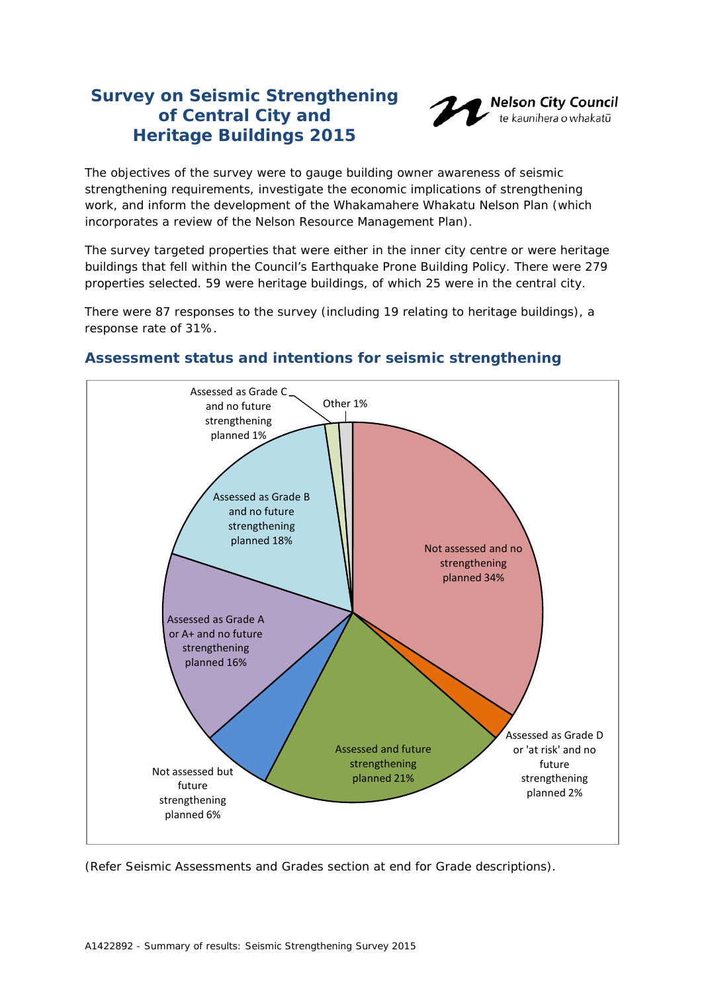# **Survey on Seismic Strengthening of Central City and Heritage Buildings 2015**



The objectives of the survey were to gauge building owner awareness of seismic strengthening requirements, investigate the economic implications of strengthening work, and inform the development of the Whakamahere Whakatu Nelson Plan (which incorporates a review of the Nelson Resource Management Plan).

The survey targeted properties that were either in the inner city centre or were heritage buildings that fell within the Council's Earthquake Prone Building Policy. There were 279 properties selected. 59 were heritage buildings, of which 25 were in the central city.

There were 87 responses to the survey (including 19 relating to heritage buildings), a response rate of 31%.



### **Assessment status and intentions for seismic strengthening**

(Refer *Seismic Assessments and Grades* section at end for Grade descriptions).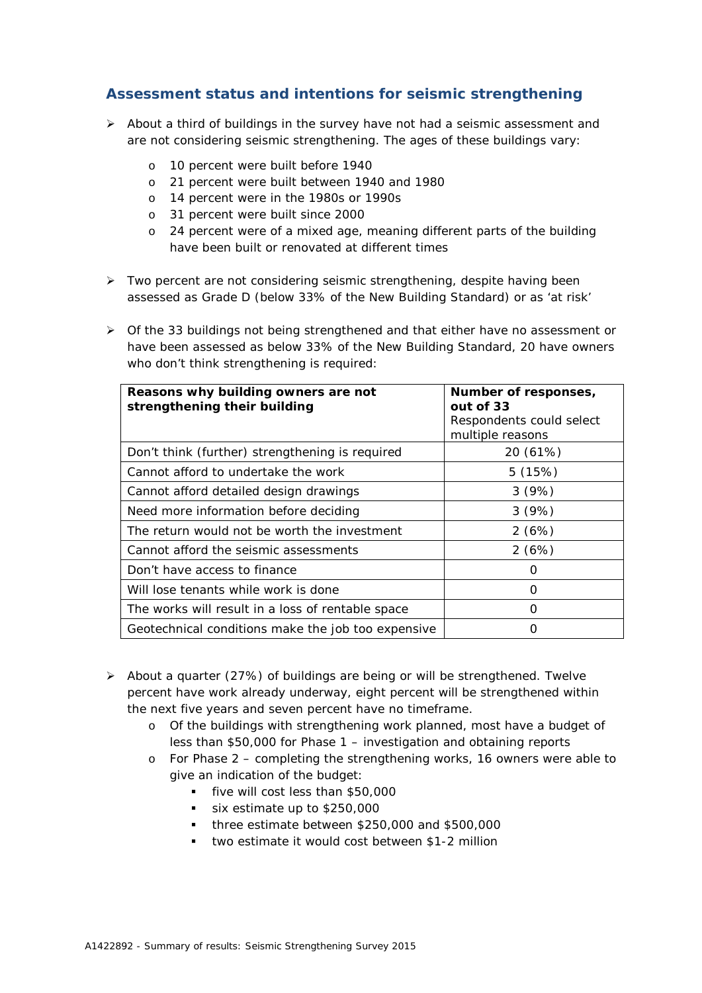### **Assessment status and intentions for seismic strengthening**

- $\triangleright$  About a third of buildings in the survey have not had a seismic assessment and are not considering seismic strengthening. The ages of these buildings vary:
	- o 10 percent were built before 1940
	- o 21 percent were built between 1940 and 1980
	- o 14 percent were in the 1980s or 1990s
	- o 31 percent were built since 2000
	- o 24 percent were of a mixed age, meaning different parts of the building have been built or renovated at different times
- $\triangleright$  Two percent are not considering seismic strengthening, despite having been assessed as Grade D (below 33% of the New Building Standard) or as 'at risk'
- $\triangleright$  Of the 33 buildings not being strengthened and that either have no assessment or have been assessed as below 33% of the New Building Standard, 20 have owners who don't think strengthening is required:

| Reasons why building owners are not<br>strengthening their building | Number of responses,<br>out of 33 |  |  |
|---------------------------------------------------------------------|-----------------------------------|--|--|
|                                                                     | Respondents could select          |  |  |
|                                                                     | multiple reasons                  |  |  |
| Don't think (further) strengthening is required                     | 20 (61%)                          |  |  |
| Cannot afford to undertake the work                                 | 5(15%)                            |  |  |
| Cannot afford detailed design drawings                              | 3(9%)                             |  |  |
| Need more information before deciding                               | 3(9%)                             |  |  |
| The return would not be worth the investment                        | 2(6%)                             |  |  |
| Cannot afford the seismic assessments                               | 2(6%)                             |  |  |
| Don't have access to finance                                        | ( )                               |  |  |
| Will lose tenants while work is done                                | O                                 |  |  |
| The works will result in a loss of rentable space                   | Ω                                 |  |  |
| Geotechnical conditions make the job too expensive                  | ( )                               |  |  |

- About a quarter (27%) of buildings are being or will be strengthened. Twelve percent have work already underway, eight percent will be strengthened within the next five years and seven percent have no timeframe.
	- o Of the buildings with strengthening work planned, most have a budget of less than \$50,000 for Phase 1 – investigation and obtaining reports
	- o For Phase 2 completing the strengthening works, 16 owners were able to give an indication of the budget:
		- five will cost less than \$50,000
		- six estimate up to \$250,000
		- three estimate between \$250,000 and \$500,000
		- two estimate it would cost between \$1-2 million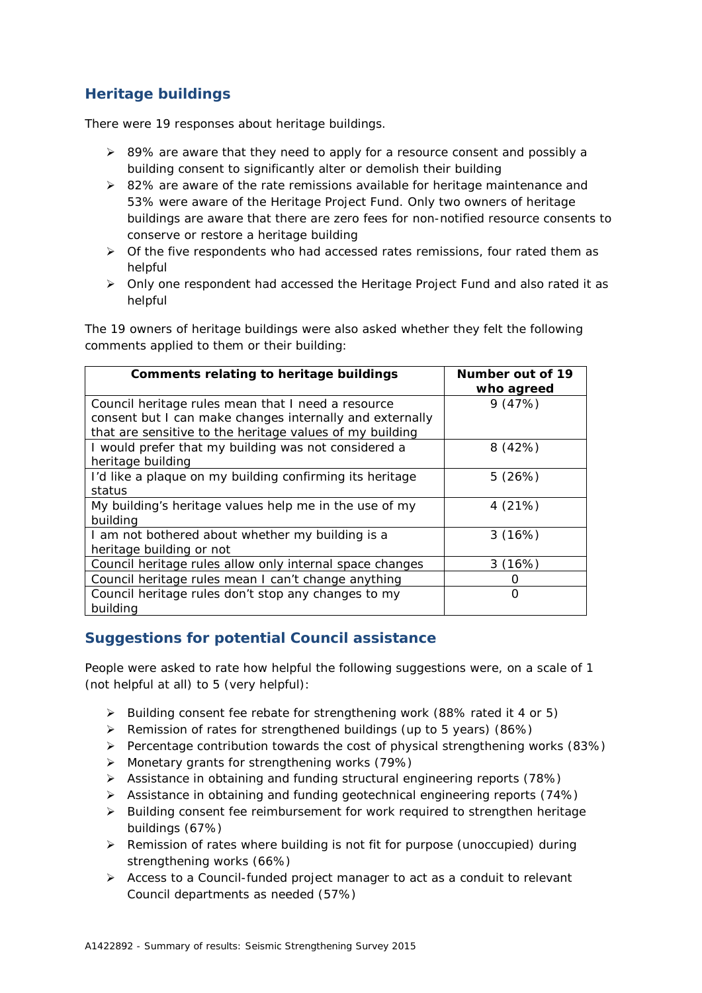# **Heritage buildings**

There were 19 responses about heritage buildings.

- $\geq$  89% are aware that they need to apply for a resource consent and possibly a building consent to significantly alter or demolish their building
- $\geq$  82% are aware of the rate remissions available for heritage maintenance and 53% were aware of the Heritage Project Fund. Only two owners of heritage buildings are aware that there are zero fees for non-notified resource consents to conserve or restore a heritage building
- $\triangleright$  Of the five respondents who had accessed rates remissions, four rated them as helpful
- Only one respondent had accessed the Heritage Project Fund and also rated it as helpful

The 19 owners of heritage buildings were also asked whether they felt the following comments applied to them or their building:

| <b>Comments relating to heritage buildings</b>           | Number out of 19 |  |
|----------------------------------------------------------|------------------|--|
|                                                          | who agreed       |  |
| Council heritage rules mean that I need a resource       | 9(47%)           |  |
| consent but I can make changes internally and externally |                  |  |
| that are sensitive to the heritage values of my building |                  |  |
| I would prefer that my building was not considered a     | 8(42%)           |  |
| heritage building                                        |                  |  |
| I'd like a plaque on my building confirming its heritage | 5(26%)           |  |
| status                                                   |                  |  |
| My building's heritage values help me in the use of my   | 4(21%)           |  |
| buildina                                                 |                  |  |
| I am not bothered about whether my building is a         | 3(16%)           |  |
| heritage building or not                                 |                  |  |
| Council heritage rules allow only internal space changes | 3(16%)           |  |
| Council heritage rules mean I can't change anything      | ( )              |  |
| Council heritage rules don't stop any changes to my      | O                |  |
| building                                                 |                  |  |

### **Suggestions for potential Council assistance**

People were asked to rate how helpful the following suggestions were, on a scale of 1 (not helpful at all) to 5 (very helpful):

- ▶ Building consent fee rebate for strengthening work (88% rated it 4 or 5)
- $\triangleright$  Remission of rates for strengthened buildings (up to 5 years) (86%)
- $\triangleright$  Percentage contribution towards the cost of physical strengthening works (83%)
- Monetary grants for strengthening works (79%)
- Assistance in obtaining and funding structural engineering reports (78%)
- Assistance in obtaining and funding geotechnical engineering reports (74%)
- > Building consent fee reimbursement for work required to strengthen heritage buildings (67%)
- Remission of rates where building is not fit for purpose (unoccupied) during strengthening works (66%)
- Access to a Council-funded project manager to act as a conduit to relevant Council departments as needed (57%)